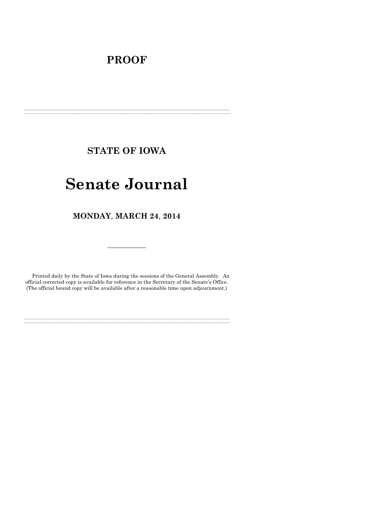# **PROOF**

**STATE OF IOWA**

**\_\_\_\_\_\_\_\_\_\_\_\_\_\_\_\_\_\_\_\_\_\_\_\_\_\_\_\_\_\_\_\_\_\_\_\_\_\_\_\_\_\_\_\_\_\_\_\_\_\_\_\_\_\_\_\_\_\_\_\_\_\_\_\_\_\_\_\_\_\_\_\_\_\_\_\_\_\_\_\_\_\_\_\_\_\_\_\_\_\_\_\_\_\_\_\_\_\_\_\_\_\_\_\_\_\_\_\_\_\_\_\_\_\_\_\_\_\_\_\_\_\_\_\_\_\_\_\_\_ \_\_\_\_\_\_\_\_\_\_\_\_\_\_\_\_\_\_\_\_\_\_\_\_\_\_\_\_\_\_\_\_\_\_\_\_\_\_\_\_\_\_\_\_\_\_\_\_\_\_\_\_\_\_\_\_\_\_\_\_\_\_\_\_\_\_\_\_\_\_\_\_\_\_\_\_\_\_\_\_\_\_\_\_\_\_\_\_\_\_\_\_\_\_\_\_\_\_\_\_\_\_\_\_\_\_\_\_\_\_\_\_\_\_\_\_\_\_\_\_\_\_\_\_\_\_\_\_\_**

# **Senate Journal**

**MONDAY**, **MARCH 24**, **2014**

Printed daily by the State of Iowa during the sessions of the General Assembly. An official corrected copy is available for reference in the Secretary of the Senate's Office. (The official bound copy will be available after a reasonable time upon adjournment.)

**\_\_\_\_\_\_\_\_\_\_\_\_\_\_\_\_\_\_\_\_\_\_\_\_\_\_\_\_\_\_\_\_\_\_\_\_\_\_\_\_\_\_\_\_\_\_\_\_\_\_\_\_\_\_\_\_\_\_\_\_\_\_\_\_\_\_\_\_\_\_\_\_\_\_\_\_\_\_\_\_\_\_\_\_\_\_\_\_\_\_\_\_\_\_\_\_\_\_\_\_\_\_\_\_\_\_\_\_\_\_\_\_\_\_\_\_\_\_\_\_\_\_\_\_\_\_\_\_\_ \_\_\_\_\_\_\_\_\_\_\_\_\_\_\_\_\_\_\_\_\_\_\_\_\_\_\_\_\_\_\_\_\_\_\_\_\_\_\_\_\_\_\_\_\_\_\_\_\_\_\_\_\_\_\_\_\_\_\_\_\_\_\_\_\_\_\_\_\_\_\_\_\_\_\_\_\_\_\_\_\_\_\_\_\_\_\_\_\_\_\_\_\_\_\_\_\_\_\_\_\_\_\_\_\_\_\_\_\_\_\_\_\_\_\_\_\_\_\_\_\_\_\_\_\_\_\_\_\_**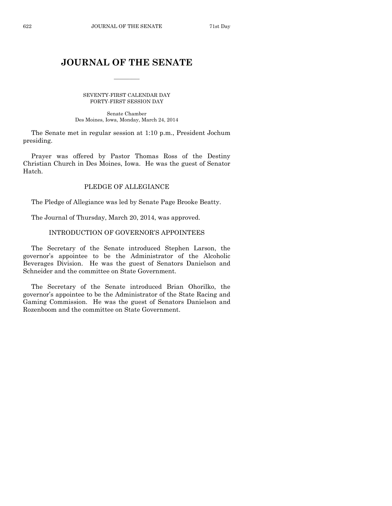# **JOURNAL OF THE SENATE**

 $\frac{1}{2}$ 

SEVENTY-FIRST CALENDAR DAY FORTY-FIRST SESSION DAY

Senate Chamber Des Moines, Iowa, Monday, March 24, 2014

The Senate met in regular session at 1:10 p.m., President Jochum presiding.

Prayer was offered by Pastor Thomas Ross of the Destiny Christian Church in Des Moines, Iowa. He was the guest of Senator Hatch.

# PLEDGE OF ALLEGIANCE

The Pledge of Allegiance was led by Senate Page Brooke Beatty.

The Journal of Thursday, March 20, 2014, was approved.

# INTRODUCTION OF GOVERNOR'S APPOINTEES

The Secretary of the Senate introduced Stephen Larson, the governor's appointee to be the Administrator of the Alcoholic Beverages Division. He was the guest of Senators Danielson and Schneider and the committee on State Government.

The Secretary of the Senate introduced Brian Ohorilko, the governor's appointee to be the Administrator of the State Racing and Gaming Commission. He was the guest of Senators Danielson and Rozenboom and the committee on State Government.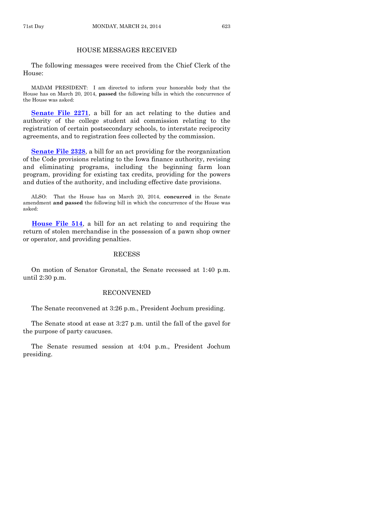# HOUSE MESSAGES RECEIVED

The following messages were received from the Chief Clerk of the House:

MADAM PRESIDENT: I am directed to inform your honorable body that the House has on March 20, 2014, **passed** the following bills in which the concurrence of the House was asked:

**[Senate File 2271](http://coolice.legis.iowa.gov/Cool-ICE/default.asp?Category=billinfo&Service=Billbook&frame=1&GA=85&hbill=SF2271)**, a bill for an act relating to the duties and authority of the college student aid commission relating to the registration of certain postsecondary schools, to interstate reciprocity agreements, and to registration fees collected by the commission.

**[Senate File 2328](http://coolice.legis.iowa.gov/Cool-ICE/default.asp?Category=billinfo&Service=Billbook&frame=1&GA=85&hbill=SF2328)**, a bill for an act providing for the reorganization of the Code provisions relating to the Iowa finance authority, revising and eliminating programs, including the beginning farm loan program, providing for existing tax credits, providing for the powers and duties of the authority, and including effective date provisions.

ALSO: That the House has on March 20, 2014, **concurred** in the Senate amendment **and passed** the following bill in which the concurrence of the House was asked:

**[House File 514](http://coolice.legis.iowa.gov/Cool-ICE/default.asp?Category=billinfo&Service=Billbook&frame=1&GA=85&hbill=HF514)**, a bill for an act relating to and requiring the return of stolen merchandise in the possession of a pawn shop owner or operator, and providing penalties.

#### RECESS

On motion of Senator Gronstal, the Senate recessed at 1:40 p.m. until 2:30 p.m.

#### RECONVENED

The Senate reconvened at 3:26 p.m., President Jochum presiding.

The Senate stood at ease at 3:27 p.m. until the fall of the gavel for the purpose of party caucuses.

The Senate resumed session at 4:04 p.m., President Jochum presiding.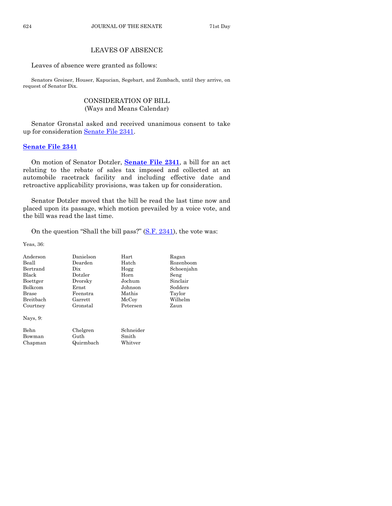# LEAVES OF ABSENCE

Leaves of absence were granted as follows:

Senators Greiner, Houser, Kapucian, Segebart, and Zumbach, until they arrive, on request of Senator Dix.

# CONSIDERATION OF BILL (Ways and Means Calendar)

Senator Gronstal asked and received unanimous consent to take up for consideration [Senate File 2341.](http://coolice.legis.iowa.gov/Cool-ICE/default.asp?Category=billinfo&Service=Billbook&frame=1&GA=85&hbill=SF2341)

# **[Senate File 2341](http://coolice.legis.iowa.gov/Cool-ICE/default.asp?Category=billinfo&Service=Billbook&frame=1&GA=85&hbill=SF2341)**

On motion of Senator Dotzler, **[Senate File 2341](http://coolice.legis.iowa.gov/Cool-ICE/default.asp?Category=billinfo&Service=Billbook&frame=1&GA=85&hbill=SF2341)**, a bill for an act relating to the rebate of sales tax imposed and collected at an automobile racetrack facility and including effective date and retroactive applicability provisions, was taken up for consideration.

Senator Dotzler moved that the bill be read the last time now and placed upon its passage, which motion prevailed by a voice vote, and the bill was read the last time.

On the question "Shall the bill pass?" [\(S.F. 2341\)](http://coolice.legis.iowa.gov/Cool-ICE/default.asp?Category=billinfo&Service=Billbook&frame=1&GA=85&hbill=SF2341), the vote was:

Yeas, 36:

| Anderson       | Danielson | Hart      | Ragan      |
|----------------|-----------|-----------|------------|
| Beall          | Dearden   | Hatch     | Rozenboom  |
| Bertrand       | Dix       | Hogg      | Schoenjahn |
| Black          | Dotzler   | Horn      | Seng       |
| Boettger       | Dvorsky   | Jochum    | Sinclair   |
| <b>Bolkcom</b> | Ernst     | Johnson   | Sodders    |
| <b>Brase</b>   | Feenstra  | Mathis    | Taylor     |
| Breithach      | Garrett   | McCoy     | Wilhelm    |
| Courtney       | Gronstal  | Petersen  | Zaun       |
| Nays, $9$ :    |           |           |            |
| Behn           | Chelgren  | Schneider |            |
| Bowman         | Guth      | Smith     |            |
| Chapman        | Quirmbach | Whitver   |            |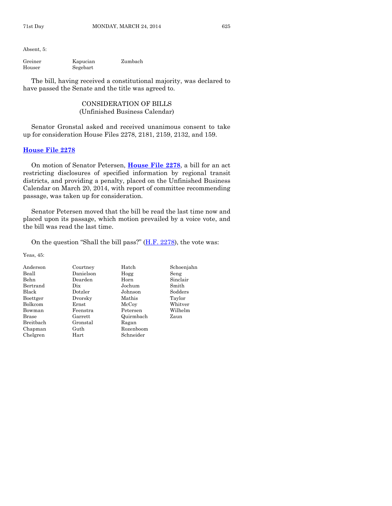Absent, 5:

| Greiner | Kapucian | Zumbach |
|---------|----------|---------|
| Houser  | Segebart |         |

The bill, having received a constitutional majority, was declared to have passed the Senate and the title was agreed to.

# CONSIDERATION OF BILLS (Unfinished Business Calendar)

Senator Gronstal asked and received unanimous consent to take up for consideration House Files 2278, 2181, 2159, 2132, and 159.

#### **[House File 2278](http://coolice.legis.iowa.gov/Cool-ICE/default.asp?Category=billinfo&Service=Billbook&frame=1&GA=85&hbill=HF2278)**

On motion of Senator Petersen, **[House File 2278](http://coolice.legis.iowa.gov/Cool-ICE/default.asp?Category=billinfo&Service=Billbook&frame=1&GA=85&hbill=HF2278)**, a bill for an act restricting disclosures of specified information by regional transit districts, and providing a penalty, placed on the Unfinished Business Calendar on March 20, 2014, with report of committee recommending passage, was taken up for consideration.

Senator Petersen moved that the bill be read the last time now and placed upon its passage, which motion prevailed by a voice vote, and the bill was read the last time.

On the question "Shall the bill pass?"  $(H.F. 2278)$ , the vote was:

Yeas, 45:

| Anderson     | Courtney  | Hatch     | Schoenjahn |
|--------------|-----------|-----------|------------|
| Beall        | Danielson | Hogg      | Seng       |
| Behn         | Dearden   | Horn      | Sinclair   |
| Bertrand     | Dix       | Jochum    | Smith      |
| Black        | Dotzler   | Johnson   | Sodders    |
| Boettger     | Dvorsky   | Mathis    | Taylor     |
| Bolkcom      | Ernst     | McCoy     | Whitver    |
| Bowman       | Feenstra  | Petersen  | Wilhelm    |
| <b>Brase</b> | Garrett   | Quirmbach | Zaun       |
| Breitbach    | Gronstal  | Ragan     |            |
| Chapman      | Guth      | Rozenboom |            |
| Chelgren     | Hart      | Schneider |            |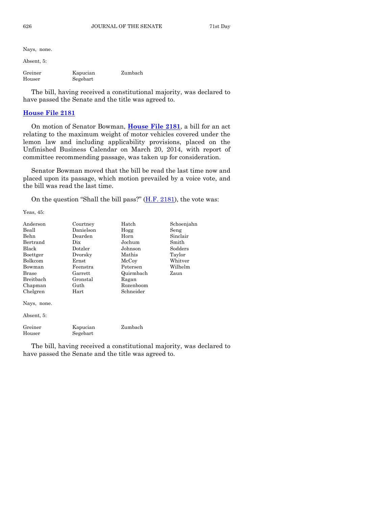Nays, none.

Absent, 5:

| Greiner | Kapucian | Zumbach |
|---------|----------|---------|
| Houser  | Segebart |         |

The bill, having received a constitutional majority, was declared to have passed the Senate and the title was agreed to.

## **[House File 2181](http://coolice.legis.iowa.gov/Cool-ICE/default.asp?Category=billinfo&Service=Billbook&frame=1&GA=85&hbill=HF2181)**

On motion of Senator Bowman, **[House File 2181](http://coolice.legis.iowa.gov/Cool-ICE/default.asp?Category=billinfo&Service=Billbook&frame=1&GA=85&hbill=HF2181)**, a bill for an act relating to the maximum weight of motor vehicles covered under the lemon law and including applicability provisions, placed on the Unfinished Business Calendar on March 20, 2014, with report of committee recommending passage, was taken up for consideration.

Senator Bowman moved that the bill be read the last time now and placed upon its passage, which motion prevailed by a voice vote, and the bill was read the last time.

On the question "Shall the bill pass?"  $(H.F. 2181)$ , the vote was:

Yeas, 45:

| Anderson          | Courtney             | Hatch     | Schoenjahn |
|-------------------|----------------------|-----------|------------|
| Beall             | Danielson            | Hogg      | Seng       |
| Behn              | Dearden              | Horn      | Sinclair   |
| Bertrand          | Dix.                 | Jochum    | Smith      |
| Black             | Dotzler              | Johnson   | Sodders    |
| Boettger          | Dvorsky              | Mathis    | Taylor     |
| Bolkcom           | $\rm Ernst$          | McCoy     | Whitver    |
| Bowman            | Feenstra             | Petersen  | Wilhelm    |
| Brase             | Garrett              | Quirmbach | Zaun       |
| Breitbach         | Gronstal             | Ragan     |            |
| Chapman           | Guth                 | Rozenboom |            |
| Chelgren          | Hart                 | Schneider |            |
| Nays, none.       |                      |           |            |
| Absent, 5:        |                      |           |            |
| Greiner<br>Houser | Kapucian<br>Segebart | Zumbach   |            |

The bill, having received a constitutional majority, was declared to have passed the Senate and the title was agreed to.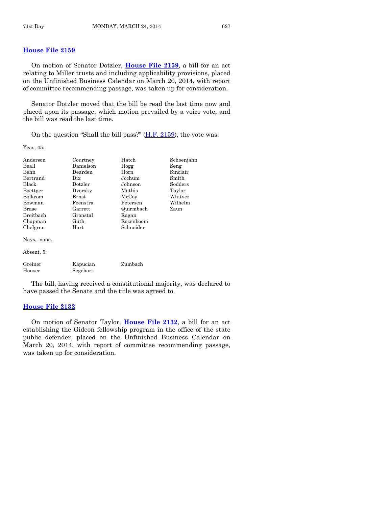## **[House File 2159](http://coolice.legis.iowa.gov/Cool-ICE/default.asp?Category=billinfo&Service=Billbook&frame=1&GA=85&hbill=HF2159)**

On motion of Senator Dotzler, **[House File 2159](http://coolice.legis.iowa.gov/Cool-ICE/default.asp?Category=billinfo&Service=Billbook&frame=1&GA=85&hbill=HF2159)**, a bill for an act relating to Miller trusts and including applicability provisions, placed on the Unfinished Business Calendar on March 20, 2014, with report of committee recommending passage, was taken up for consideration.

Senator Dotzler moved that the bill be read the last time now and placed upon its passage, which motion prevailed by a voice vote, and the bill was read the last time.

On the question "Shall the bill pass?"  $(H.F. 2159)$ , the vote was:

Yeas, 45:

| Anderson          | Courtney             | Hatch     | Schoenjahn |
|-------------------|----------------------|-----------|------------|
| Beall             | Danielson            | Hogg      | Seng       |
| <b>Behn</b>       | Dearden              | Horn      | Sinclair   |
| Bertrand          | Dix                  | Jochum    | Smith      |
| Black             | Dotzler              | Johnson   | Sodders    |
| Boettger          | Dvorsky              | Mathis    | Taylor     |
| Bolkcom           | Ernst                | McCoy     | Whitver    |
| Bowman            | Feenstra             | Petersen  | Wilhelm    |
| Brase             | Garrett              | Quirmbach | Zaun       |
| Breitbach         | Gronstal             | Ragan     |            |
| Chapman           | Guth                 | Rozenboom |            |
| Chelgren          | Hart                 | Schneider |            |
| Nays, none.       |                      |           |            |
| Absent, 5:        |                      |           |            |
| Greiner<br>Houser | Kapucian<br>Segebart | Zumbach   |            |

The bill, having received a constitutional majority, was declared to have passed the Senate and the title was agreed to.

#### **[House File 2132](http://coolice.legis.iowa.gov/Cool-ICE/default.asp?Category=billinfo&Service=Billbook&frame=1&GA=85&hbill=HF2132)**

On motion of Senator Taylor, **[House File 2132](http://coolice.legis.iowa.gov/Cool-ICE/default.asp?Category=billinfo&Service=Billbook&frame=1&GA=85&hbill=HF2132)**, a bill for an act establishing the Gideon fellowship program in the office of the state public defender, placed on the Unfinished Business Calendar on March 20, 2014, with report of committee recommending passage, was taken up for consideration.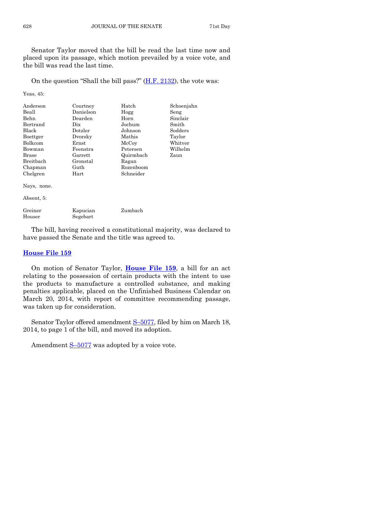Senator Taylor moved that the bill be read the last time now and placed upon its passage, which motion prevailed by a voice vote, and the bill was read the last time.

On the question "Shall the bill pass?" [\(H.F. 2132\)](http://coolice.legis.iowa.gov/Cool-ICE/default.asp?Category=billinfo&Service=Billbook&frame=1&GA=85&hbill=HF2132), the vote was:

Yeas, 45:

| Anderson       | Courtney  | Hatch     | Schoenjahn |
|----------------|-----------|-----------|------------|
| Beall          | Danielson | Hogg      | Seng       |
| Behn           | Dearden   | Horn      | Sinclair   |
| Bertrand       | Dix       | Jochum    | Smith      |
| Black          | Dotzler   | Johnson   | Sodders    |
| Boettger       | Dvorsky   | Mathis    | Taylor     |
| <b>Bolkcom</b> | Ernst     | McCoy     | Whitver    |
| Bowman         | Feenstra  | Petersen  | Wilhelm    |
| Brase          | Garrett   | Quirmbach | Zaun       |
| Breithach      | Gronstal  | Ragan     |            |
| Chapman        | Guth      | Rozenboom |            |
| Chelgren       | Hart      | Schneider |            |
| Nays, none.    |           |           |            |

Absent, 5:

| Greiner | Kapucian | Zumbach |
|---------|----------|---------|
| Houser  | Segebart |         |

The bill, having received a constitutional majority, was declared to have passed the Senate and the title was agreed to.

#### **[House File 159](http://coolice.legis.iowa.gov/Cool-ICE/default.asp?Category=billinfo&Service=Billbook&frame=1&GA=85&hbill=HF159)**

On motion of Senator Taylor, **[House File 159](http://coolice.legis.iowa.gov/Cool-ICE/default.asp?Category=billinfo&Service=Billbook&frame=1&GA=85&hbill=HF159)**, a bill for an act relating to the possession of certain products with the intent to use the products to manufacture a controlled substance, and making penalties applicable, placed on the Unfinished Business Calendar on March 20, 2014, with report of committee recommending passage, was taken up for consideration.

Senator Taylor offered amendment S-[5077,](http://coolice.legis.iowa.gov/Cool-ICE/default.asp?Category=billinfo&Service=Billbook&frame=1&GA=85&hbill=S5077) filed by him on March 18, 2014, to page 1 of the bill, and moved its adoption.

Amendment  $S-5077$  $S-5077$  was adopted by a voice vote.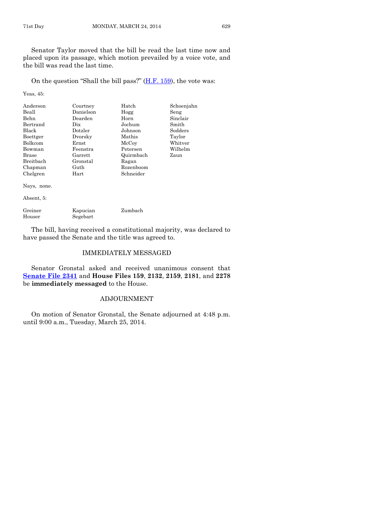Senator Taylor moved that the bill be read the last time now and placed upon its passage, which motion prevailed by a voice vote, and the bill was read the last time.

On the question "Shall the bill pass?"  $(H.F. 159)$ , the vote was:

Yeas, 45:

| Anderson         | Courtney  | Hatch     | Schoenjahn |
|------------------|-----------|-----------|------------|
| Beall            | Danielson | Hogg      | Seng       |
| Behn             | Dearden   | Horn      | Sinclair   |
| Bertrand         | Dix       | Jochum    | Smith      |
| <b>Black</b>     | Dotzler   | Johnson   | Sodders    |
| Boettger         | Dvorsky   | Mathis    | Taylor     |
| <b>Bolkcom</b>   | Ernst     | McCoy     | Whitver    |
| Bowman           | Feenstra  | Petersen  | Wilhelm    |
| Brase            | Garrett   | Quirmbach | Zaun       |
| <b>Breithach</b> | Gronstal  | Ragan     |            |
| Chapman          | Guth      | Rozenboom |            |
| Chelgren         | Hart      | Schneider |            |
|                  |           |           |            |

Nays, none.

Absent, 5:

| Greiner | Kapucian | Zumbach |
|---------|----------|---------|
| Houser  | Segebart |         |

The bill, having received a constitutional majority, was declared to have passed the Senate and the title was agreed to.

# IMMEDIATELY MESSAGED

Senator Gronstal asked and received unanimous consent that **[Senate File 2341](http://coolice.legis.iowa.gov/Cool-ICE/default.asp?Category=billinfo&Service=Billbook&frame=1&GA=85&hbill=SF2341)** and **House Files 159**, **2132**, **2159**, **2181**, and **2278** be **immediately messaged** to the House.

# ADJOURNMENT

On motion of Senator Gronstal, the Senate adjourned at 4:48 p.m. until 9:00 a.m., Tuesday, March 25, 2014.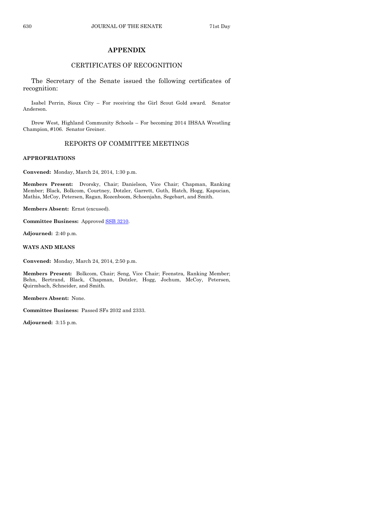# **APPENDIX**

# CERTIFICATES OF RECOGNITION

The Secretary of the Senate issued the following certificates of recognition:

Isabel Perrin, Sioux City – For receiving the Girl Scout Gold award. Senator Anderson.

Drew West, Highland Community Schools – For becoming 2014 IHSAA Wrestling Champion, #106. Senator Greiner.

# REPORTS OF COMMITTEE MEETINGS

#### **APPROPRIATIONS**

**Convened:** Monday, March 24, 2014, 1:30 p.m.

**Members Present:** Dvorsky, Chair; Danielson, Vice Chair; Chapman, Ranking Member; Black, Bolkcom, Courtney, Dotzler, Garrett, Guth, Hatch, Hogg, Kapucian, Mathis, McCoy, Petersen, Ragan, Rozenboom, Schoenjahn, Segebart, and Smith.

**Members Absent:** Ernst (excused).

**Committee Business:** Approved [SSB 3210.](http://coolice.legis.iowa.gov/Cool-ICE/default.asp?Category=billinfo&Service=Billbook&frame=1&GA=85&hbill=SSB3210)

**Adjourned:** 2:40 p.m.

**WAYS AND MEANS**

**Convened:** Monday, March 24, 2014, 2:50 p.m.

**Members Present:** Bolkcom, Chair; Seng, Vice Chair; Feenstra, Ranking Member; Behn, Bertrand, Black, Chapman, Dotzler, Hogg, Jochum, McCoy, Petersen, Quirmbach, Schneider, and Smith.

**Members Absent:** None.

**Committee Business:** Passed SFs 2032 and 2333.

**Adjourned:** 3:15 p.m.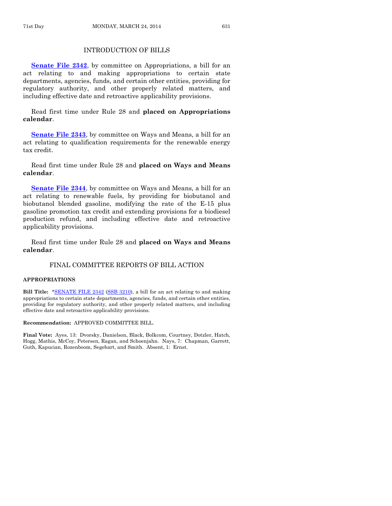# INTRODUCTION OF BILLS

**[Senate File 2342](http://coolice.legis.iowa.gov/Cool-ICE/default.asp?Category=billinfo&Service=Billbook&frame=1&GA=85&hbill=SF2342)**, by committee on Appropriations, a bill for an act relating to and making appropriations to certain state departments, agencies, funds, and certain other entities, providing for regulatory authority, and other properly related matters, and including effective date and retroactive applicability provisions.

Read first time under Rule 28 and **placed on Appropriations calendar**.

**[Senate File 2343](http://coolice.legis.iowa.gov/Cool-ICE/default.asp?Category=billinfo&Service=Billbook&frame=1&GA=85&hbill=SF2343)**, by committee on Ways and Means, a bill for an act relating to qualification requirements for the renewable energy tax credit.

Read first time under Rule 28 and **placed on Ways and Means calendar**.

**[Senate File 2344](http://coolice.legis.iowa.gov/Cool-ICE/default.asp?Category=billinfo&Service=Billbook&frame=1&GA=85&hbill=SF2344)**, by committee on Ways and Means, a bill for an act relating to renewable fuels, by providing for biobutanol and biobutanol blended gasoline, modifying the rate of the E-15 plus gasoline promotion tax credit and extending provisions for a biodiesel production refund, and including effective date and retroactive applicability provisions.

Read first time under Rule 28 and **placed on Ways and Means calendar**.

# FINAL COMMITTEE REPORTS OF BILL ACTION

#### **APPROPRIATIONS**

**Bill Title:** [\\*SENATE FILE 2342](http://coolice.legis.iowa.gov/Cool-ICE/default.asp?Category=billinfo&Service=Billbook&frame=1&GA=85&hbill=SF2342) [\(SSB 3210\),](http://coolice.legis.iowa.gov/Cool-ICE/default.asp?Category=billinfo&Service=Billbook&frame=1&GA=85&hbill=SSB3210) a bill for an act relating to and making appropriations to certain state departments, agencies, funds, and certain other entities, providing for regulatory authority, and other properly related matters, and including effective date and retroactive applicability provisions.

#### **Recommendation:** APPROVED COMMITTEE BILL.

**Final Vote:** Ayes, 13: Dvorsky, Danielson, Black, Bolkcom, Courtney, Dotzler, Hatch, Hogg, Mathis, McCoy, Petersen, Ragan, and Schoenjahn. Nays, 7: Chapman, Garrett, Guth, Kapucian, Rozenboom, Segebart, and Smith. Absent, 1: Ernst.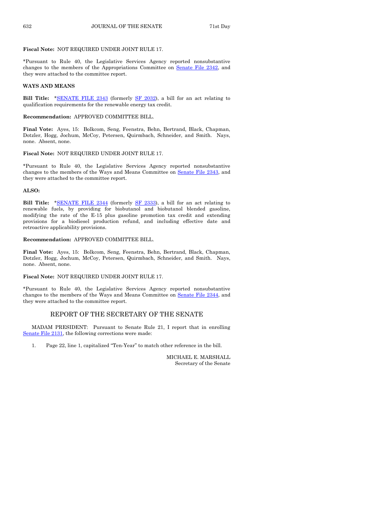#### **Fiscal Note:** NOT REQUIRED UNDER JOINT RULE 17.

\*Pursuant to Rule 40, the Legislative Services Agency reported nonsubstantive changes to the members of the Appropriations Committee on Senate [File 2342,](http://coolice.legis.iowa.gov/Cool-ICE/default.asp?Category=billinfo&Service=Billbook&frame=1&GA=85&hbill=SF2342) and they were attached to the committee report.

#### **WAYS AND MEANS**

**Bill Title:** [\\*SENATE FILE 2343](http://coolice.legis.iowa.gov/Cool-ICE/default.asp?Category=billinfo&Service=Billbook&frame=1&GA=85&hbill=SF2343) (formerly [SF 2032\),](http://coolice.legis.iowa.gov/Cool-ICE/default.asp?Category=billinfo&Service=Billbook&frame=1&GA=85&hbill=SF2032) a bill for an act relating to qualification requirements for the renewable energy tax credit.

#### **Recommendation:** APPROVED COMMITTEE BILL.

**Final Vote:** Ayes, 15: Bolkcom, Seng, Feenstra, Behn, Bertrand, Black, Chapman, Dotzler, Hogg, Jochum, McCoy, Petersen, Quirmbach, Schneider, and Smith. Nays, none. Absent, none.

#### **Fiscal Note:** NOT REQUIRED UNDER JOINT RULE 17.

\*Pursuant to Rule 40, the Legislative Services Agency reported nonsubstantive changes to the members of the Ways and Means Committee on Senate [File 2343,](http://coolice.legis.iowa.gov/Cool-ICE/default.asp?Category=billinfo&Service=Billbook&frame=1&GA=85&hbill=SF2343) and they were attached to the committee report.

#### **ALSO:**

**Bill Title:** [\\*SENATE FILE 2344](http://coolice.legis.iowa.gov/Cool-ICE/default.asp?Category=billinfo&Service=Billbook&frame=1&GA=85&hbill=SF2344) (formerly SF [2333\),](http://coolice.legis.iowa.gov/Cool-ICE/default.asp?Category=billinfo&Service=Billbook&frame=1&GA=85&hbill=SF2333) a bill for an act relating to renewable fuels, by providing for biobutanol and biobutanol blended gasoline, modifying the rate of the E-15 plus gasoline promotion tax credit and extending provisions for a biodiesel production refund, and including effective date and retroactive applicability provisions.

#### **Recommendation:** APPROVED COMMITTEE BILL.

**Final Vote:** Ayes, 15: Bolkcom, Seng, Feenstra, Behn, Bertrand, Black, Chapman, Dotzler, Hogg, Jochum, McCoy, Petersen, Quirmbach, Schneider, and Smith. Nays, none. Absent, none.

#### **Fiscal Note:** NOT REQUIRED UNDER JOINT RULE 17.

\*Pursuant to Rule 40, the Legislative Services Agency reported nonsubstantive changes to the members of the Ways and Means Committee on Senate [File 2344,](http://coolice.legis.iowa.gov/Cool-ICE/default.asp?Category=billinfo&Service=Billbook&frame=1&GA=85&hbill=SF2344) and they were attached to the committee report.

#### REPORT OF THE SECRETARY OF THE SENATE

MADAM PRESIDENT: Pursuant to Senate Rule 21, I report that in enrolling [Senate File 2131,](http://coolice.legis.iowa.gov/Cool-ICE/default.asp?Category=billinfo&Service=Billbook&frame=1&GA=85&hbill=SF2131) the following corrections were made:

1. Page 22, line 1, capitalized "Ten-Year" to match other reference in the bill.

MICHAEL E. MARSHALL Secretary of the Senate